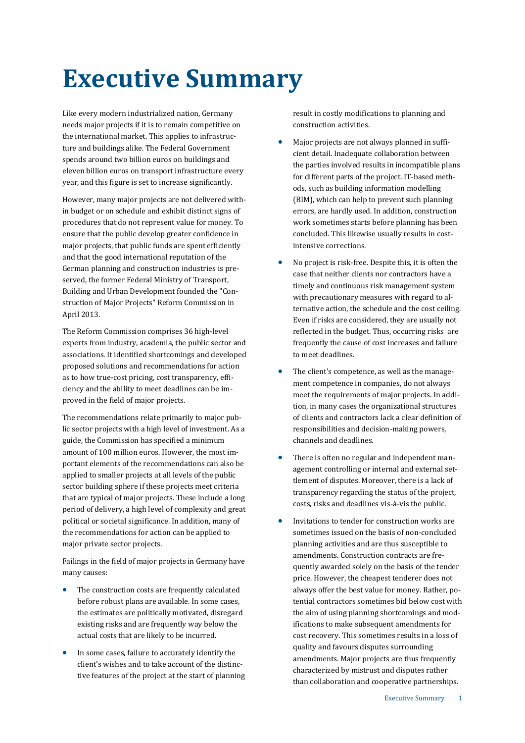# **Executive Summary**

Like every modern industrialized nation, Germany needs major projects if it is to remain competitive on the international market. This applies to infrastructure and buildings alike. The Federal Government spends around two billion euros on buildings and eleven billion euros on transport infrastructure every year, and this figure is set to increase significantly.

However, many major projects are not delivered within budget or on schedule and exhibit distinct signs of procedures that do not represent value for money. To ensure that the public develop greater confidence in major projects, that public funds are spent efficiently and that the good international reputation of the German planning and construction industries is preserved, the former Federal Ministry of Transport, Building and Urban Development founded the "Construction of Major Projects" Reform Commission in April 2013.

The Reform Commission comprises 36 high-level experts from industry, academia, the public sector and associations. It identified shortcomings and developed proposed solutions and recommendations for action as to how true-cost pricing, cost transparency, efficiency and the ability to meet deadlines can be improved in the field of major projects.

The recommendations relate primarily to major public sector projects with a high level of investment. As a guide, the Commission has specified a minimum amount of 100 million euros. However, the most important elements of the recommendations can also be applied to smaller projects at all levels of the public sector building sphere if these projects meet criteria that are typical of major projects. These include a long period of delivery, a high level of complexity and great political or societal significance. In addition, many of the recommendations for action can be applied to major private sector projects.

Failings in the field of major projects in Germany have many causes:

- The construction costs are frequently calculated before robust plans are available. In some cases, the estimates are politically motivated, disregard existing risks and are frequently way below the actual costs that are likely to be incurred.
- In some cases, failure to accurately identify the client's wishes and to take account of the distinctive features of the project at the start of planning

result in costly modifications to planning and construction activities.

- Major projects are not always planned in sufficient detail. Inadequate collaboration between the parties involved results in incompatible plans for different parts of the project. IT-based methods, such as building information modelling (BIM), which can help to prevent such planning errors, are hardly used. In addition, construction work sometimes starts before planning has been concluded. This likewise usually results in costintensive corrections.
- No project is risk-free. Despite this, it is often the case that neither clients nor contractors have a timely and continuous risk management system with precautionary measures with regard to alternative action, the schedule and the cost ceiling. Even if risks are considered, they are usually not reflected in the budget. Thus, occurring risks are frequently the cause of cost increases and failure to meet deadlines.
- The client's competence, as well as the management competence in companies, do not always meet the requirements of major projects. In addition, in many cases the organizational structures of clients and contractors lack a clear definition of responsibilities and decision-making powers, channels and deadlines.
- There is often no regular and independent management controlling or internal and external settlement of disputes. Moreover, there is a lack of transparency regarding the status of the project, costs, risks and deadlines vis-à-vis the public.
- Invitations to tender for construction works are sometimes issued on the basis of non-concluded planning activities and are thus susceptible to amendments. Construction contracts are frequently awarded solely on the basis of the tender price. However, the cheapest tenderer does not always offer the best value for money. Rather, potential contractors sometimes bid below cost with the aim of using planning shortcomings and modifications to make subsequent amendments for cost recovery. This sometimes results in a loss of quality and favours disputes surrounding amendments. Major projects are thus frequently characterized by mistrust and disputes rather than collaboration and cooperative partnerships.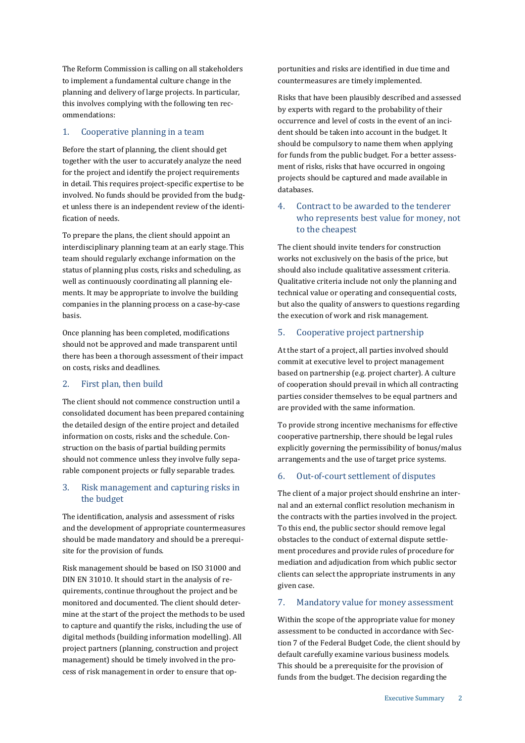The Reform Commission is calling on all stakeholders to implement a fundamental culture change in the planning and delivery of large projects. In particular, this involves complying with the following ten recommendations:

## 1. Cooperative planning in a team

Before the start of planning, the client should get together with the user to accurately analyze the need for the project and identify the project requirements in detail. This requires project-specific expertise to be involved. No funds should be provided from the budget unless there is an independent review of the identification of needs.

To prepare the plans, the client should appoint an interdisciplinary planning team at an early stage. This team should regularly exchange information on the status of planning plus costs, risks and scheduling, as well as continuously coordinating all planning elements. It may be appropriate to involve the building companies in the planning process on a case-by-case basis.

Once planning has been completed, modifications should not be approved and made transparent until there has been a thorough assessment of their impact on costs, risks and deadlines.

### 2. First plan, then build

The client should not commence construction until a consolidated document has been prepared containing the detailed design of the entire project and detailed information on costs, risks and the schedule. Construction on the basis of partial building permits should not commence unless they involve fully separable component projects or fully separable trades.

### 3. Risk management and capturing risks in the budget

The identification, analysis and assessment of risks and the development of appropriate countermeasures should be made mandatory and should be a prerequisite for the provision of funds.

Risk management should be based on ISO 31000 and DIN EN 31010. It should start in the analysis of requirements, continue throughout the project and be monitored and documented. The client should determine at the start of the project the methods to be used to capture and quantify the risks, including the use of digital methods (building information modelling). All project partners (planning, construction and project management) should be timely involved in the process of risk management in order to ensure that opportunities and risks are identified in due time and countermeasures are timely implemented.

Risks that have been plausibly described and assessed by experts with regard to the probability of their occurrence and level of costs in the event of an incident should be taken into account in the budget. It should be compulsory to name them when applying for funds from the public budget. For a better assessment of risks, risks that have occurred in ongoing projects should be captured and made available in databases.

### 4. Contract to be awarded to the tenderer who represents best value for money, not to the cheapest

The client should invite tenders for construction works not exclusively on the basis of the price, but should also include qualitative assessment criteria. Qualitative criteria include not only the planning and technical value or operating and consequential costs, but also the quality of answers to questions regarding the execution of work and risk management.

### 5. Cooperative project partnership

At the start of a project, all parties involved should commit at executive level to project management based on partnership (e.g. project charter). A culture of cooperation should prevail in which all contracting parties consider themselves to be equal partners and are provided with the same information.

To provide strong incentive mechanisms for effective cooperative partnership, there should be legal rules explicitly governing the permissibility of bonus/malus arrangements and the use of target price systems.

### 6. Out-of-court settlement of disputes

The client of a major project should enshrine an internal and an external conflict resolution mechanism in the contracts with the parties involved in the project. To this end, the public sector should remove legal obstacles to the conduct of external dispute settlement procedures and provide rules of procedure for mediation and adjudication from which public sector clients can select the appropriate instruments in any given case.

### 7. Mandatory value for money assessment

Within the scope of the appropriate value for money assessment to be conducted in accordance with Section 7 of the Federal Budget Code, the client should by default carefully examine various business models. This should be a prerequisite for the provision of funds from the budget. The decision regarding the